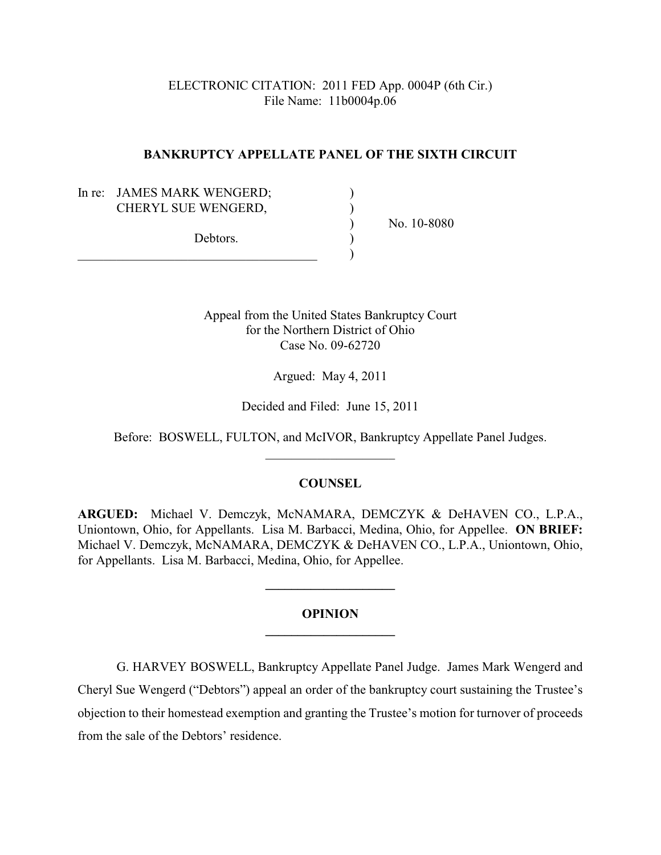ELECTRONIC CITATION: 2011 FED App. 0004P (6th Cir.) File Name: 11b0004p.06

### **BANKRUPTCY APPELLATE PANEL OF THE SIXTH CIRCUIT**

In re: JAMES MARK WENGERD; CHERYL SUE WENGERD,

Debtors.  $\qquad\qquad\qquad\qquad\qquad)$ 

) No. 10-8080

Appeal from the United States Bankruptcy Court for the Northern District of Ohio Case No. 09-62720

Argued: May 4, 2011

Decided and Filed: June 15, 2011

Before: BOSWELL, FULTON, and McIVOR, Bankruptcy Appellate Panel Judges. \_\_\_\_\_\_\_\_\_\_\_\_\_\_\_\_\_\_\_\_

# **COUNSEL**

**ARGUED:** Michael V. Demczyk, McNAMARA, DEMCZYK & DeHAVEN CO., L.P.A., Uniontown, Ohio, for Appellants. Lisa M. Barbacci, Medina, Ohio, for Appellee. **ON BRIEF:** Michael V. Demczyk, McNAMARA, DEMCZYK & DeHAVEN CO., L.P.A., Uniontown, Ohio, for Appellants. Lisa M. Barbacci, Medina, Ohio, for Appellee.

# **OPINION \_\_\_\_\_\_\_\_\_\_\_\_\_\_\_\_\_\_\_\_**

**\_\_\_\_\_\_\_\_\_\_\_\_\_\_\_\_\_\_\_\_**

G. HARVEY BOSWELL, Bankruptcy Appellate Panel Judge. James Mark Wengerd and Cheryl Sue Wengerd ("Debtors") appeal an order of the bankruptcy court sustaining the Trustee's objection to their homestead exemption and granting the Trustee's motion for turnover of proceeds from the sale of the Debtors' residence.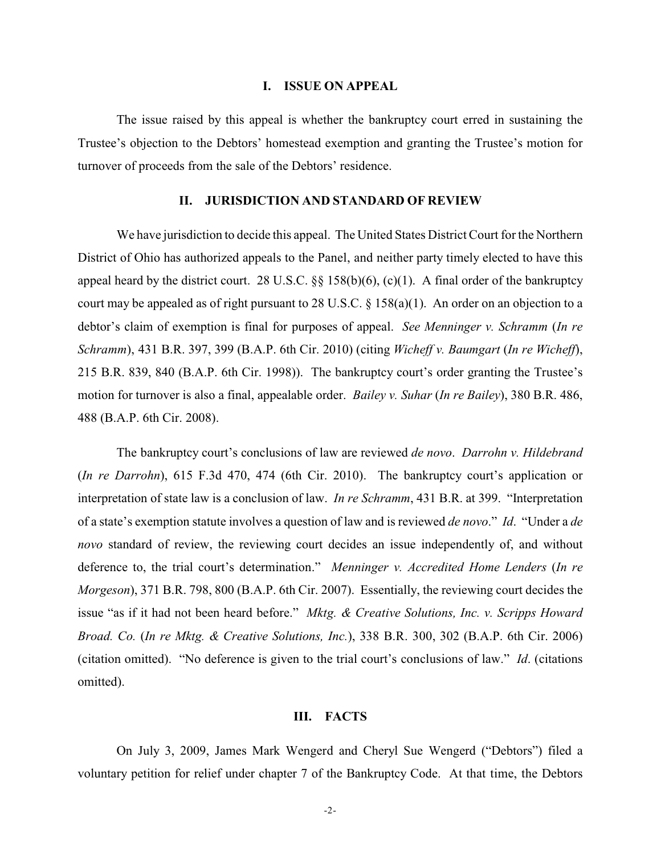#### **I. ISSUE ON APPEAL**

The issue raised by this appeal is whether the bankruptcy court erred in sustaining the Trustee's objection to the Debtors' homestead exemption and granting the Trustee's motion for turnover of proceeds from the sale of the Debtors' residence.

#### **II. JURISDICTION AND STANDARD OF REVIEW**

We have jurisdiction to decide this appeal. The United States District Court for the Northern District of Ohio has authorized appeals to the Panel, and neither party timely elected to have this appeal heard by the district court. 28 U.S.C.  $\S$ § 158(b)(6), (c)(1). A final order of the bankruptcy court may be appealed as of right pursuant to 28 U.S.C. § 158(a)(1). An order on an objection to a debtor's claim of exemption is final for purposes of appeal. *See Menninger v. Schramm* (*In re Schramm*), 431 B.R. 397, 399 (B.A.P. 6th Cir. 2010) (citing *Wicheff v. Baumgart* (*In re Wicheff*), 215 B.R. 839, 840 (B.A.P. 6th Cir. 1998)). The bankruptcy court's order granting the Trustee's motion for turnover is also a final, appealable order. *Bailey v. Suhar* (*In re Bailey*), 380 B.R. 486, 488 (B.A.P. 6th Cir. 2008).

The bankruptcy court's conclusions of law are reviewed *de novo*. *Darrohn v. Hildebrand* (*In re Darrohn*), 615 F.3d 470, 474 (6th Cir. 2010). The bankruptcy court's application or interpretation of state law is a conclusion of law. *In re Schramm*, 431 B.R. at 399. "Interpretation of a state's exemption statute involves a question of law and is reviewed *de novo*." *Id*. "Under a *de novo* standard of review, the reviewing court decides an issue independently of, and without deference to, the trial court's determination." *Menninger v. Accredited Home Lenders* (*In re Morgeson*), 371 B.R. 798, 800 (B.A.P. 6th Cir. 2007). Essentially, the reviewing court decides the issue "as if it had not been heard before." *Mktg. & Creative Solutions, Inc. v. Scripps Howard Broad. Co.* (*In re Mktg. & Creative Solutions, Inc.*), 338 B.R. 300, 302 (B.A.P. 6th Cir. 2006) (citation omitted). "No deference is given to the trial court's conclusions of law." *Id*. (citations omitted).

#### **III. FACTS**

On July 3, 2009, James Mark Wengerd and Cheryl Sue Wengerd ("Debtors") filed a voluntary petition for relief under chapter 7 of the Bankruptcy Code. At that time, the Debtors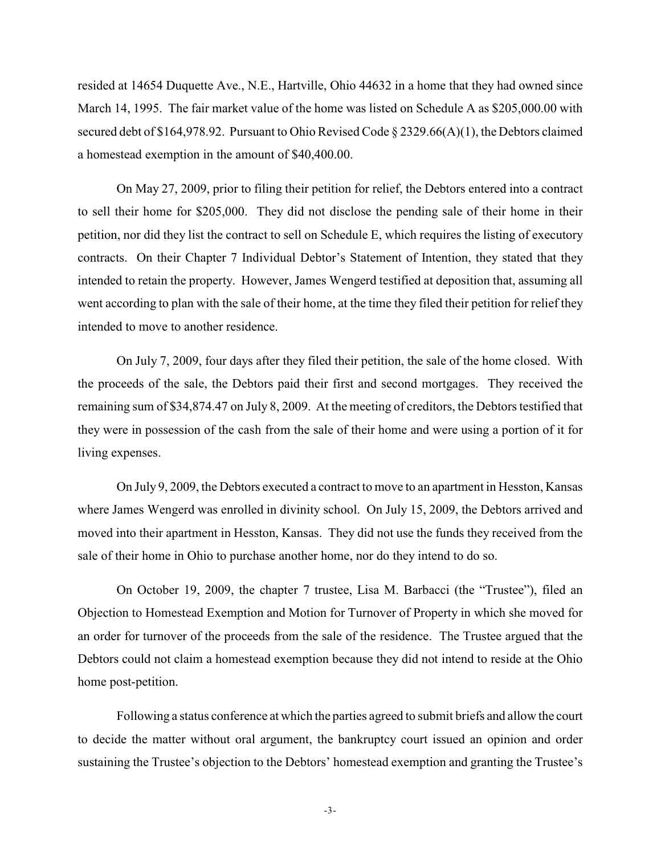resided at 14654 Duquette Ave., N.E., Hartville, Ohio 44632 in a home that they had owned since March 14, 1995. The fair market value of the home was listed on Schedule A as \$205,000.00 with secured debt of \$164,978.92. Pursuant to Ohio Revised Code § 2329.66(A)(1), the Debtors claimed a homestead exemption in the amount of \$40,400.00.

On May 27, 2009, prior to filing their petition for relief, the Debtors entered into a contract to sell their home for \$205,000. They did not disclose the pending sale of their home in their petition, nor did they list the contract to sell on Schedule E, which requires the listing of executory contracts. On their Chapter 7 Individual Debtor's Statement of Intention, they stated that they intended to retain the property. However, James Wengerd testified at deposition that, assuming all went according to plan with the sale of their home, at the time they filed their petition for relief they intended to move to another residence.

On July 7, 2009, four days after they filed their petition, the sale of the home closed. With the proceeds of the sale, the Debtors paid their first and second mortgages. They received the remaining sum of \$34,874.47 on July 8, 2009. At the meeting of creditors, the Debtors testified that they were in possession of the cash from the sale of their home and were using a portion of it for living expenses.

On July 9, 2009, the Debtors executed a contract to move to an apartment in Hesston, Kansas where James Wengerd was enrolled in divinity school. On July 15, 2009, the Debtors arrived and moved into their apartment in Hesston, Kansas. They did not use the funds they received from the sale of their home in Ohio to purchase another home, nor do they intend to do so.

On October 19, 2009, the chapter 7 trustee, Lisa M. Barbacci (the "Trustee"), filed an Objection to Homestead Exemption and Motion for Turnover of Property in which she moved for an order for turnover of the proceeds from the sale of the residence. The Trustee argued that the Debtors could not claim a homestead exemption because they did not intend to reside at the Ohio home post-petition.

Following a status conference at which the parties agreed to submit briefs and allow the court to decide the matter without oral argument, the bankruptcy court issued an opinion and order sustaining the Trustee's objection to the Debtors' homestead exemption and granting the Trustee's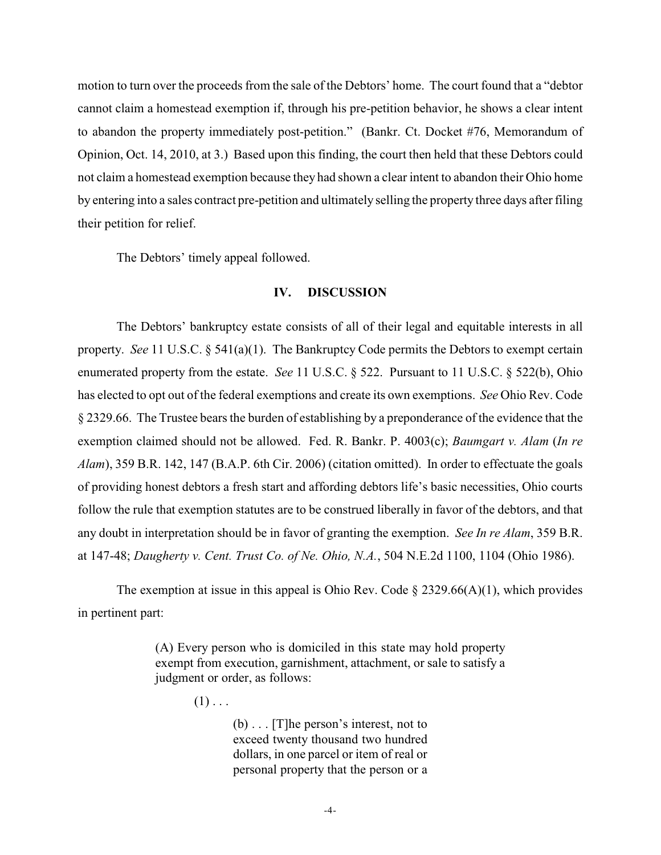motion to turn over the proceeds from the sale of the Debtors' home. The court found that a "debtor cannot claim a homestead exemption if, through his pre-petition behavior, he shows a clear intent to abandon the property immediately post-petition." (Bankr. Ct. Docket #76, Memorandum of Opinion, Oct. 14, 2010, at 3.) Based upon this finding, the court then held that these Debtors could not claim a homestead exemption because they had shown a clear intent to abandon their Ohio home by entering into a sales contract pre-petition and ultimately selling the property three days after filing their petition for relief.

The Debtors' timely appeal followed.

# **IV. DISCUSSION**

The Debtors' bankruptcy estate consists of all of their legal and equitable interests in all property. *See* 11 U.S.C. § 541(a)(1). The Bankruptcy Code permits the Debtors to exempt certain enumerated property from the estate. *See* 11 U.S.C. § 522. Pursuant to 11 U.S.C. § 522(b), Ohio has elected to opt out of the federal exemptions and create its own exemptions. *See* Ohio Rev. Code § 2329.66. The Trustee bears the burden of establishing by a preponderance of the evidence that the exemption claimed should not be allowed. Fed. R. Bankr. P. 4003(c); *Baumgart v. Alam* (*In re Alam*), 359 B.R. 142, 147 (B.A.P. 6th Cir. 2006) (citation omitted). In order to effectuate the goals of providing honest debtors a fresh start and affording debtors life's basic necessities, Ohio courts follow the rule that exemption statutes are to be construed liberally in favor of the debtors, and that any doubt in interpretation should be in favor of granting the exemption. *See In re Alam*, 359 B.R. at 147-48; *Daugherty v. Cent. Trust Co. of Ne. Ohio, N.A.*, 504 N.E.2d 1100, 1104 (Ohio 1986).

The exemption at issue in this appeal is Ohio Rev. Code  $\S 2329.66(A)(1)$ , which provides in pertinent part:

> (A) Every person who is domiciled in this state may hold property exempt from execution, garnishment, attachment, or sale to satisfy a judgment or order, as follows:

> > $(1)$ ...

(b) . . . [T]he person's interest, not to exceed twenty thousand two hundred dollars, in one parcel or item of real or personal property that the person or a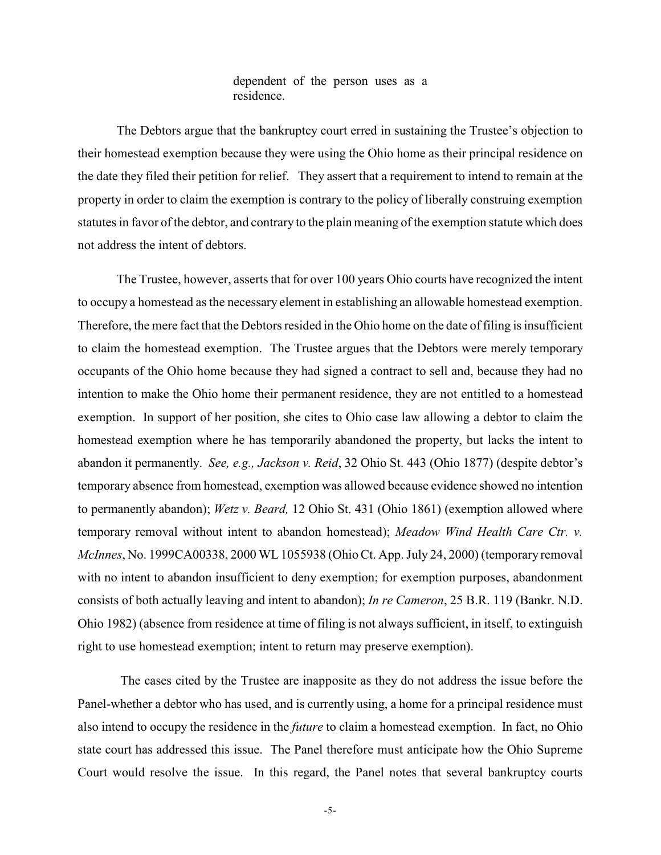## dependent of the person uses as a residence.

The Debtors argue that the bankruptcy court erred in sustaining the Trustee's objection to their homestead exemption because they were using the Ohio home as their principal residence on the date they filed their petition for relief. They assert that a requirement to intend to remain at the property in order to claim the exemption is contrary to the policy of liberally construing exemption statutes in favor of the debtor, and contrary to the plain meaning of the exemption statute which does not address the intent of debtors.

The Trustee, however, asserts that for over 100 years Ohio courts have recognized the intent to occupy a homestead as the necessary element in establishing an allowable homestead exemption. Therefore, the mere fact that the Debtors resided in the Ohio home on the date of filing is insufficient to claim the homestead exemption. The Trustee argues that the Debtors were merely temporary occupants of the Ohio home because they had signed a contract to sell and, because they had no intention to make the Ohio home their permanent residence, they are not entitled to a homestead exemption. In support of her position, she cites to Ohio case law allowing a debtor to claim the homestead exemption where he has temporarily abandoned the property, but lacks the intent to abandon it permanently. *See, e.g., Jackson v. Reid*, 32 Ohio St. 443 (Ohio 1877) (despite debtor's temporary absence from homestead, exemption was allowed because evidence showed no intention to permanently abandon); *Wetz v. Beard,* 12 Ohio St. 431 (Ohio 1861) (exemption allowed where temporary removal without intent to abandon homestead); *Meadow Wind Health Care Ctr. v. McInnes*, No. 1999CA00338, 2000 WL 1055938 (Ohio Ct. App. July 24, 2000) (temporary removal with no intent to abandon insufficient to deny exemption; for exemption purposes, abandonment consists of both actually leaving and intent to abandon); *In re Cameron*, 25 B.R. 119 (Bankr. N.D. Ohio 1982) (absence from residence at time of filing is not always sufficient, in itself, to extinguish right to use homestead exemption; intent to return may preserve exemption).

 The cases cited by the Trustee are inapposite as they do not address the issue before the Panel-whether a debtor who has used, and is currently using, a home for a principal residence must also intend to occupy the residence in the *future* to claim a homestead exemption. In fact, no Ohio state court has addressed this issue. The Panel therefore must anticipate how the Ohio Supreme Court would resolve the issue. In this regard, the Panel notes that several bankruptcy courts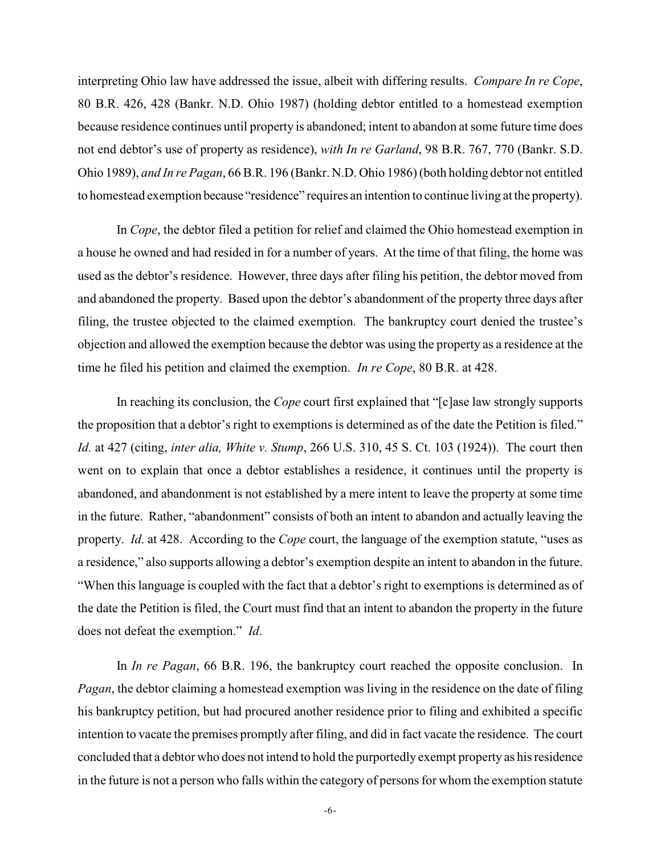interpreting Ohio law have addressed the issue, albeit with differing results. *Compare In re Cope*, 80 B.R. 426, 428 (Bankr. N.D. Ohio 1987) (holding debtor entitled to a homestead exemption because residence continues until property is abandoned; intent to abandon at some future time does not end debtor's use of property as residence), *with In re Garland*, 98 B.R. 767, 770 (Bankr. S.D. Ohio 1989), *and In re Pagan*, 66 B.R. 196 (Bankr. N.D. Ohio 1986) (both holding debtor not entitled to homestead exemption because "residence" requires an intention to continue living at the property).

In *Cope*, the debtor filed a petition for relief and claimed the Ohio homestead exemption in a house he owned and had resided in for a number of years. At the time of that filing, the home was used as the debtor's residence. However, three days after filing his petition, the debtor moved from and abandoned the property. Based upon the debtor's abandonment of the property three days after filing, the trustee objected to the claimed exemption. The bankruptcy court denied the trustee's objection and allowed the exemption because the debtor was using the property as a residence at the time he filed his petition and claimed the exemption. *In re Cope*, 80 B.R. at 428.

In reaching its conclusion, the *Cope* court first explained that "[c]ase law strongly supports the proposition that a debtor's right to exemptions is determined as of the date the Petition is filed." *Id.* at 427 (citing, *inter alia, White v. Stump*, 266 U.S. 310, 45 S. Ct. 103 (1924)). The court then went on to explain that once a debtor establishes a residence, it continues until the property is abandoned, and abandonment is not established by a mere intent to leave the property at some time in the future. Rather, "abandonment" consists of both an intent to abandon and actually leaving the property. *Id*. at 428. According to the *Cope* court, the language of the exemption statute, "uses as a residence," also supports allowing a debtor's exemption despite an intent to abandon in the future. "When this language is coupled with the fact that a debtor's right to exemptions is determined as of the date the Petition is filed, the Court must find that an intent to abandon the property in the future does not defeat the exemption." *Id*.

In *In re Pagan*, 66 B.R. 196, the bankruptcy court reached the opposite conclusion. In *Pagan*, the debtor claiming a homestead exemption was living in the residence on the date of filing his bankruptcy petition, but had procured another residence prior to filing and exhibited a specific intention to vacate the premises promptly after filing, and did in fact vacate the residence. The court concluded that a debtor who does not intend to hold the purportedly exempt property as his residence in the future is not a person who falls within the category of persons for whom the exemption statute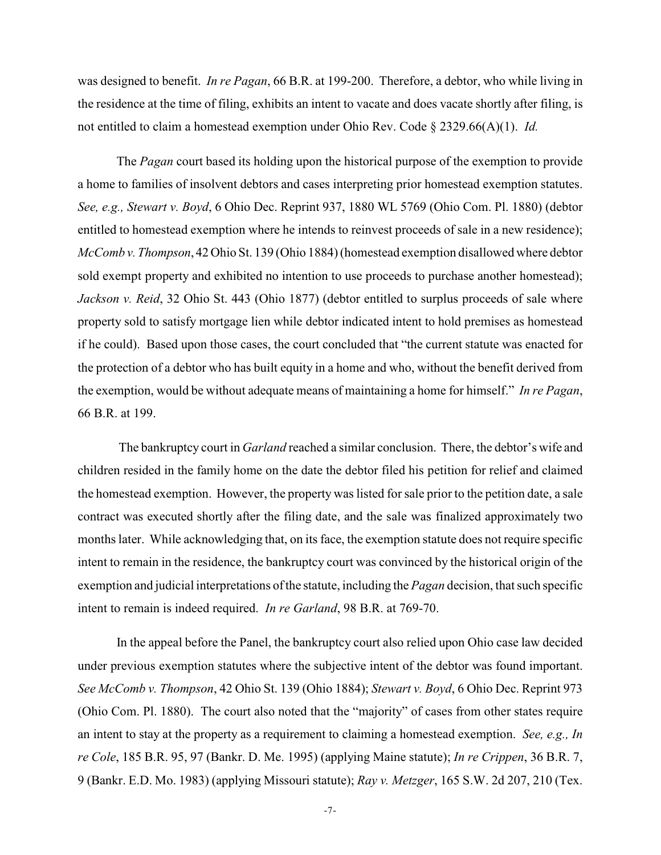was designed to benefit. *In re Pagan*, 66 B.R. at 199-200. Therefore, a debtor, who while living in the residence at the time of filing, exhibits an intent to vacate and does vacate shortly after filing, is not entitled to claim a homestead exemption under Ohio Rev. Code § 2329.66(A)(1). *Id.*

The *Pagan* court based its holding upon the historical purpose of the exemption to provide a home to families of insolvent debtors and cases interpreting prior homestead exemption statutes. *See, e.g., Stewart v. Boyd*, 6 Ohio Dec. Reprint 937, 1880 WL 5769 (Ohio Com. Pl. 1880) (debtor entitled to homestead exemption where he intends to reinvest proceeds of sale in a new residence); *McComb v. Thompson*, 42 Ohio St. 139 (Ohio 1884) (homestead exemption disallowed where debtor sold exempt property and exhibited no intention to use proceeds to purchase another homestead); *Jackson v. Reid*, 32 Ohio St. 443 (Ohio 1877) (debtor entitled to surplus proceeds of sale where property sold to satisfy mortgage lien while debtor indicated intent to hold premises as homestead if he could). Based upon those cases, the court concluded that "the current statute was enacted for the protection of a debtor who has built equity in a home and who, without the benefit derived from the exemption, would be without adequate means of maintaining a home for himself." *In re Pagan*, 66 B.R. at 199.

The bankruptcy court in *Garland* reached a similar conclusion. There, the debtor's wife and children resided in the family home on the date the debtor filed his petition for relief and claimed the homestead exemption. However, the property was listed for sale prior to the petition date, a sale contract was executed shortly after the filing date, and the sale was finalized approximately two monthslater. While acknowledging that, on its face, the exemption statute does not require specific intent to remain in the residence, the bankruptcy court was convinced by the historical origin of the exemption and judicial interpretations of the statute, including the *Pagan* decision, that such specific intent to remain is indeed required. *In re Garland*, 98 B.R. at 769-70.

In the appeal before the Panel, the bankruptcy court also relied upon Ohio case law decided under previous exemption statutes where the subjective intent of the debtor was found important. *See McComb v. Thompson*, 42 Ohio St. 139 (Ohio 1884); *Stewart v. Boyd*, 6 Ohio Dec. Reprint 973 (Ohio Com. Pl. 1880). The court also noted that the "majority" of cases from other states require an intent to stay at the property as a requirement to claiming a homestead exemption. *See, e.g., In re Cole*, 185 B.R. 95, 97 (Bankr. D. Me. 1995) (applying Maine statute); *In re Crippen*, 36 B.R. 7, 9 (Bankr. E.D. Mo. 1983) (applying Missouri statute); *Ray v. Metzger*, 165 S.W. 2d 207, 210 (Tex.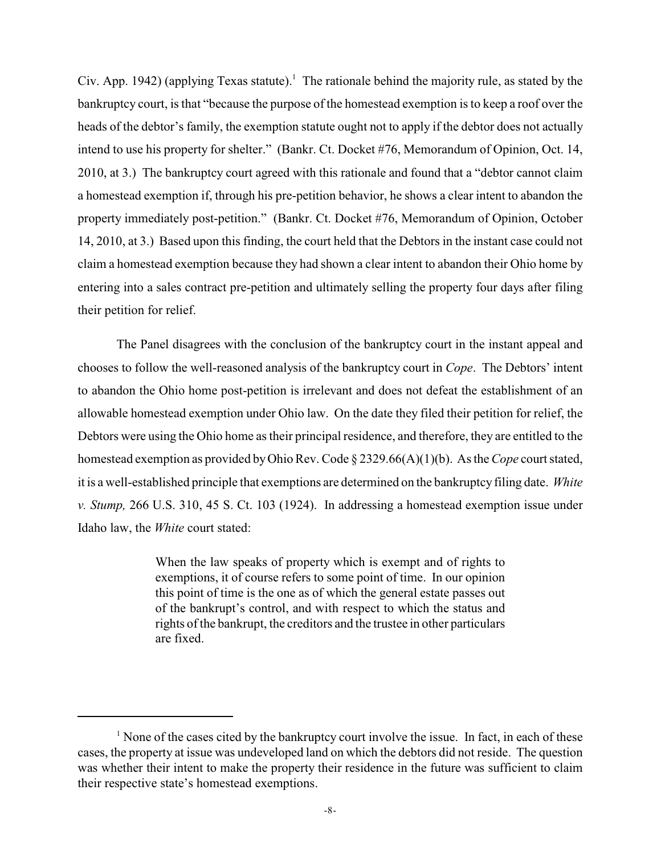Civ. App. 1942) (applying Texas statute).<sup>1</sup> The rationale behind the majority rule, as stated by the bankruptcy court, is that "because the purpose of the homestead exemption is to keep a roof over the heads of the debtor's family, the exemption statute ought not to apply if the debtor does not actually intend to use his property for shelter." (Bankr. Ct. Docket #76, Memorandum of Opinion, Oct. 14, 2010, at 3.) The bankruptcy court agreed with this rationale and found that a "debtor cannot claim a homestead exemption if, through his pre-petition behavior, he shows a clear intent to abandon the property immediately post-petition." (Bankr. Ct. Docket #76, Memorandum of Opinion, October 14, 2010, at 3.) Based upon this finding, the court held that the Debtors in the instant case could not claim a homestead exemption because they had shown a clear intent to abandon their Ohio home by entering into a sales contract pre-petition and ultimately selling the property four days after filing their petition for relief.

The Panel disagrees with the conclusion of the bankruptcy court in the instant appeal and chooses to follow the well-reasoned analysis of the bankruptcy court in *Cope*. The Debtors' intent to abandon the Ohio home post-petition is irrelevant and does not defeat the establishment of an allowable homestead exemption under Ohio law. On the date they filed their petition for relief, the Debtors were using the Ohio home as their principal residence, and therefore, they are entitled to the homestead exemption as provided by Ohio Rev. Code § 2329.66(A)(1)(b). As the *Cope* court stated, it is a well-established principle that exemptions are determined on the bankruptcy filing date. *White v. Stump,* 266 U.S. 310, 45 S. Ct. 103 (1924). In addressing a homestead exemption issue under Idaho law, the *White* court stated:

> When the law speaks of property which is exempt and of rights to exemptions, it of course refers to some point of time. In our opinion this point of time is the one as of which the general estate passes out of the bankrupt's control, and with respect to which the status and rights of the bankrupt, the creditors and the trustee in other particulars are fixed.

 $\frac{1}{1}$  None of the cases cited by the bankruptcy court involve the issue. In fact, in each of these cases, the property at issue was undeveloped land on which the debtors did not reside. The question was whether their intent to make the property their residence in the future was sufficient to claim their respective state's homestead exemptions.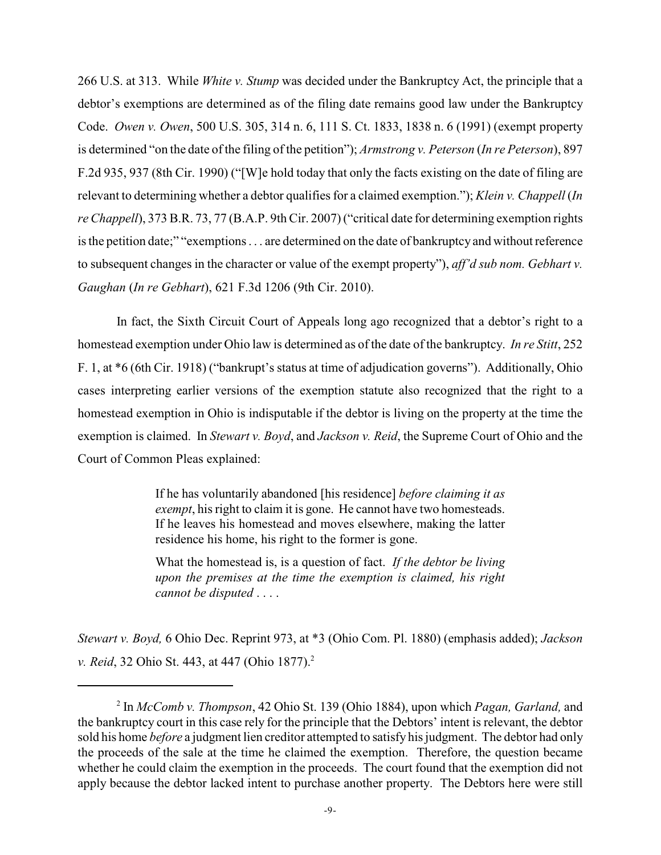266 U.S. at 313. While *White v. Stump* was decided under the Bankruptcy Act, the principle that a debtor's exemptions are determined as of the filing date remains good law under the Bankruptcy Code. *Owen v. Owen*, 500 U.S. 305, 314 n. 6, 111 S. Ct. 1833, 1838 n. 6 (1991) (exempt property is determined "on the date ofthe filing of the petition"); *Armstrong v. Peterson* (*In re Peterson*), 897 F.2d 935, 937 (8th Cir. 1990) ("[W]e hold today that only the facts existing on the date of filing are relevant to determining whether a debtor qualifies for a claimed exemption."); *Klein v. Chappell* (*In re Chappell*), 373 B.R. 73, 77 (B.A.P. 9th Cir. 2007) ("critical date for determining exemption rights is the petition date;" "exemptions . . . are determined on the date of bankruptcy and without reference to subsequent changes in the character or value of the exempt property"), *aff'd sub nom. Gebhart v. Gaughan* (*In re Gebhart*), 621 F.3d 1206 (9th Cir. 2010).

In fact, the Sixth Circuit Court of Appeals long ago recognized that a debtor's right to a homestead exemption under Ohio law is determined as of the date of the bankruptcy. *In re Stitt*, 252 F. 1, at \*6 (6th Cir. 1918) ("bankrupt's status at time of adjudication governs"). Additionally, Ohio cases interpreting earlier versions of the exemption statute also recognized that the right to a homestead exemption in Ohio is indisputable if the debtor is living on the property at the time the exemption is claimed. In *Stewart v. Boyd*, and *Jackson v. Reid*, the Supreme Court of Ohio and the Court of Common Pleas explained:

> If he has voluntarily abandoned [his residence] *before claiming it as exempt*, his right to claim it is gone. He cannot have two homesteads. If he leaves his homestead and moves elsewhere, making the latter residence his home, his right to the former is gone.

> What the homestead is, is a question of fact. *If the debtor be living upon the premises at the time the exemption is claimed, his right cannot be disputed* . . . .

*Stewart v. Boyd,* 6 Ohio Dec. Reprint 973, at \*3 (Ohio Com. Pl. 1880) (emphasis added); *Jackson v. Reid*, 32 Ohio St. 443, at 447 (Ohio 1877).<sup>2</sup>

In *McComb v. Thompson*, 42 Ohio St. 139 (Ohio 1884), upon which *Pagan, Garland,* and <sup>2</sup> the bankruptcy court in this case rely for the principle that the Debtors' intent is relevant, the debtor sold his home *before* a judgment lien creditor attempted to satisfy his judgment. The debtor had only the proceeds of the sale at the time he claimed the exemption. Therefore, the question became whether he could claim the exemption in the proceeds. The court found that the exemption did not apply because the debtor lacked intent to purchase another property. The Debtors here were still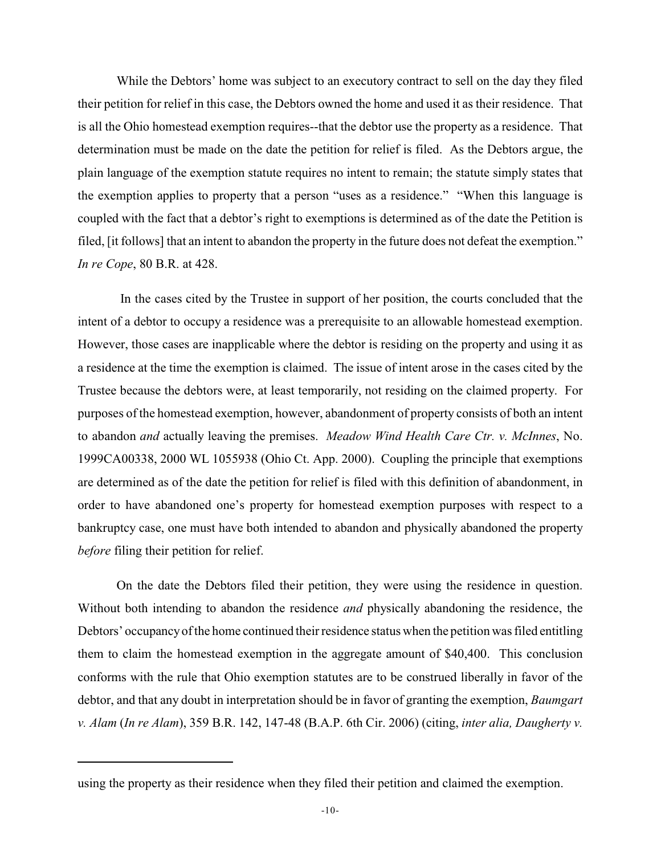While the Debtors' home was subject to an executory contract to sell on the day they filed their petition for relief in this case, the Debtors owned the home and used it as their residence. That is all the Ohio homestead exemption requires--that the debtor use the property as a residence. That determination must be made on the date the petition for relief is filed. As the Debtors argue, the plain language of the exemption statute requires no intent to remain; the statute simply states that the exemption applies to property that a person "uses as a residence." "When this language is coupled with the fact that a debtor's right to exemptions is determined as of the date the Petition is filed, [it follows] that an intent to abandon the property in the future does not defeat the exemption." *In re Cope*, 80 B.R. at 428.

 In the cases cited by the Trustee in support of her position, the courts concluded that the intent of a debtor to occupy a residence was a prerequisite to an allowable homestead exemption. However, those cases are inapplicable where the debtor is residing on the property and using it as a residence at the time the exemption is claimed. The issue of intent arose in the cases cited by the Trustee because the debtors were, at least temporarily, not residing on the claimed property. For purposes of the homestead exemption, however, abandonment of property consists of both an intent to abandon *and* actually leaving the premises. *Meadow Wind Health Care Ctr. v. McInnes*, No. 1999CA00338, 2000 WL 1055938 (Ohio Ct. App. 2000). Coupling the principle that exemptions are determined as of the date the petition for relief is filed with this definition of abandonment, in order to have abandoned one's property for homestead exemption purposes with respect to a bankruptcy case, one must have both intended to abandon and physically abandoned the property *before* filing their petition for relief.

On the date the Debtors filed their petition, they were using the residence in question. Without both intending to abandon the residence *and* physically abandoning the residence, the Debtors' occupancy of the home continued their residence status when the petition was filed entitling them to claim the homestead exemption in the aggregate amount of \$40,400. This conclusion conforms with the rule that Ohio exemption statutes are to be construed liberally in favor of the debtor, and that any doubt in interpretation should be in favor of granting the exemption, *Baumgart v. Alam* (*In re Alam*), 359 B.R. 142, 147-48 (B.A.P. 6th Cir. 2006) (citing, *inter alia, Daugherty v.*

using the property as their residence when they filed their petition and claimed the exemption.